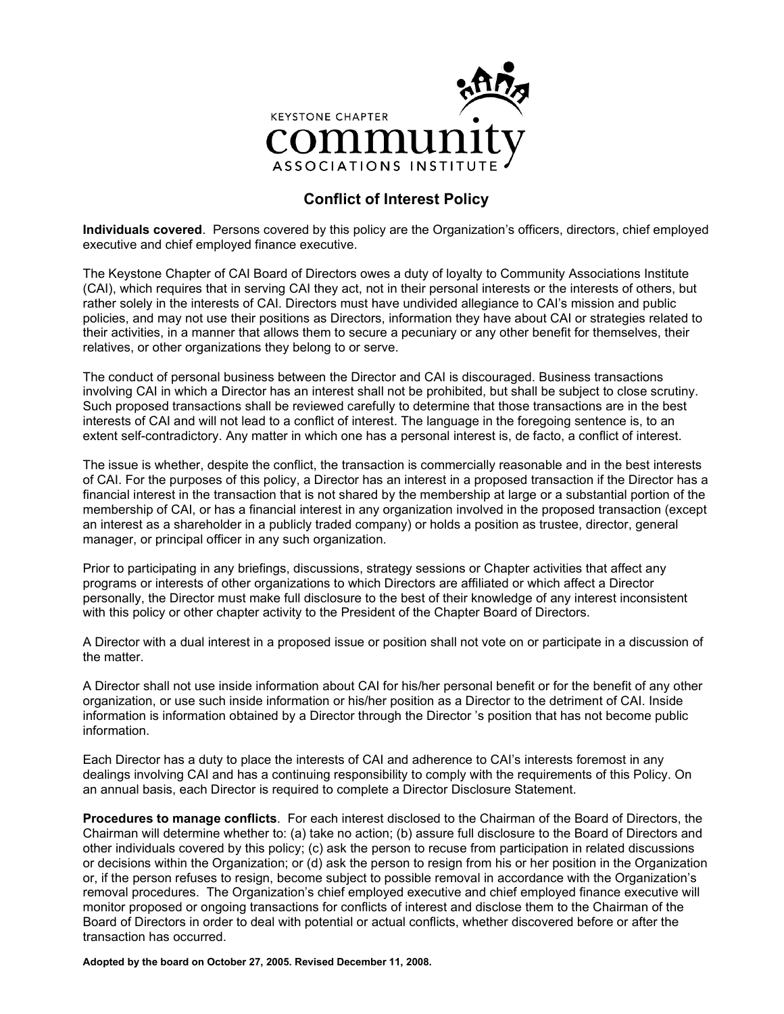

# **Conflict of Interest Policy**

**Individuals covered**. Persons covered by this policy are the Organization's officers, directors, chief employed executive and chief employed finance executive.

The Keystone Chapter of CAI Board of Directors owes a duty of loyalty to Community Associations Institute (CAI), which requires that in serving CAI they act, not in their personal interests or the interests of others, but rather solely in the interests of CAI. Directors must have undivided allegiance to CAI's mission and public policies, and may not use their positions as Directors, information they have about CAI or strategies related to their activities, in a manner that allows them to secure a pecuniary or any other benefit for themselves, their relatives, or other organizations they belong to or serve.

The conduct of personal business between the Director and CAI is discouraged. Business transactions involving CAI in which a Director has an interest shall not be prohibited, but shall be subject to close scrutiny. Such proposed transactions shall be reviewed carefully to determine that those transactions are in the best interests of CAI and will not lead to a conflict of interest. The language in the foregoing sentence is, to an extent self-contradictory. Any matter in which one has a personal interest is, de facto, a conflict of interest.

The issue is whether, despite the conflict, the transaction is commercially reasonable and in the best interests of CAI. For the purposes of this policy, a Director has an interest in a proposed transaction if the Director has a financial interest in the transaction that is not shared by the membership at large or a substantial portion of the membership of CAI, or has a financial interest in any organization involved in the proposed transaction (except an interest as a shareholder in a publicly traded company) or holds a position as trustee, director, general manager, or principal officer in any such organization.

Prior to participating in any briefings, discussions, strategy sessions or Chapter activities that affect any programs or interests of other organizations to which Directors are affiliated or which affect a Director personally, the Director must make full disclosure to the best of their knowledge of any interest inconsistent with this policy or other chapter activity to the President of the Chapter Board of Directors.

A Director with a dual interest in a proposed issue or position shall not vote on or participate in a discussion of the matter.

A Director shall not use inside information about CAI for his/her personal benefit or for the benefit of any other organization, or use such inside information or his/her position as a Director to the detriment of CAI. Inside information is information obtained by a Director through the Director 's position that has not become public information.

Each Director has a duty to place the interests of CAI and adherence to CAI's interests foremost in any dealings involving CAI and has a continuing responsibility to comply with the requirements of this Policy. On an annual basis, each Director is required to complete a Director Disclosure Statement.

**Procedures to manage conflicts**. For each interest disclosed to the Chairman of the Board of Directors, the Chairman will determine whether to: (a) take no action; (b) assure full disclosure to the Board of Directors and other individuals covered by this policy; (c) ask the person to recuse from participation in related discussions or decisions within the Organization; or (d) ask the person to resign from his or her position in the Organization or, if the person refuses to resign, become subject to possible removal in accordance with the Organization's removal procedures. The Organization's chief employed executive and chief employed finance executive will monitor proposed or ongoing transactions for conflicts of interest and disclose them to the Chairman of the Board of Directors in order to deal with potential or actual conflicts, whether discovered before or after the transaction has occurred.

**Adopted by the board on October 27, 2005. Revised December 11, 2008.**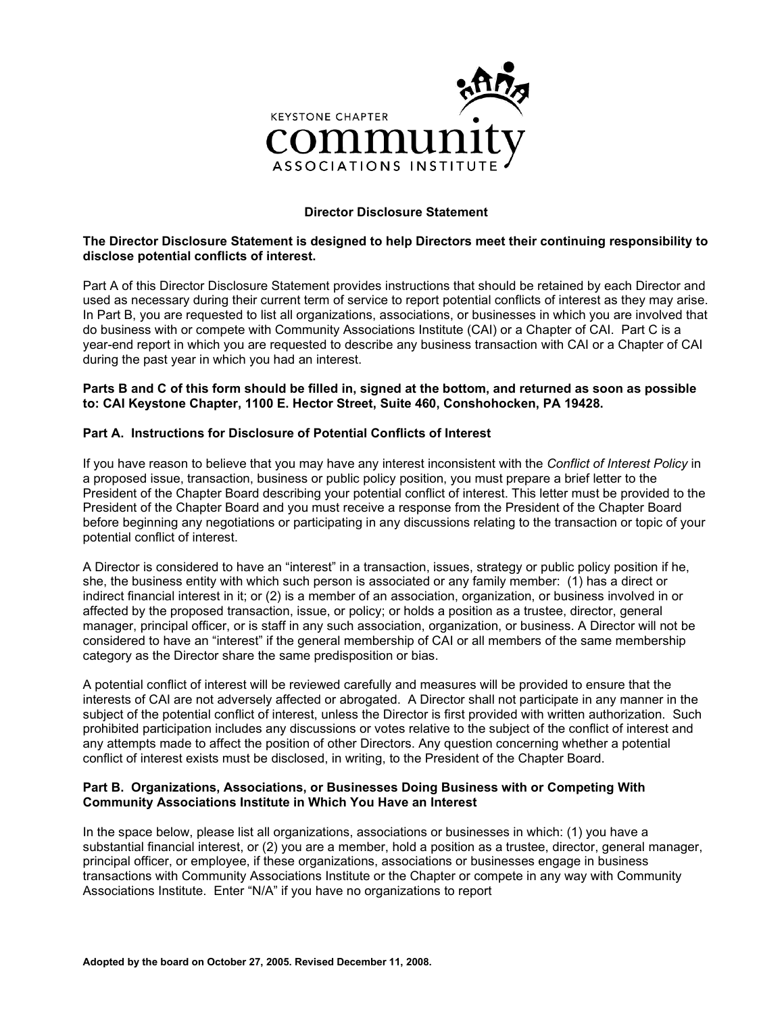

# **Director Disclosure Statement**

## **The Director Disclosure Statement is designed to help Directors meet their continuing responsibility to disclose potential conflicts of interest.**

Part A of this Director Disclosure Statement provides instructions that should be retained by each Director and used as necessary during their current term of service to report potential conflicts of interest as they may arise. In Part B, you are requested to list all organizations, associations, or businesses in which you are involved that do business with or compete with Community Associations Institute (CAI) or a Chapter of CAI. Part C is a year-end report in which you are requested to describe any business transaction with CAI or a Chapter of CAI during the past year in which you had an interest.

#### **Parts B and C of this form should be filled in, signed at the bottom, and returned as soon as possible to: CAI Keystone Chapter, 1100 E. Hector Street, Suite 460, Conshohocken, PA 19428.**

## **Part A. Instructions for Disclosure of Potential Conflicts of Interest**

If you have reason to believe that you may have any interest inconsistent with the *Conflict of Interest Policy* in a proposed issue, transaction, business or public policy position, you must prepare a brief letter to the President of the Chapter Board describing your potential conflict of interest. This letter must be provided to the President of the Chapter Board and you must receive a response from the President of the Chapter Board before beginning any negotiations or participating in any discussions relating to the transaction or topic of your potential conflict of interest.

A Director is considered to have an "interest" in a transaction, issues, strategy or public policy position if he, she, the business entity with which such person is associated or any family member: (1) has a direct or indirect financial interest in it; or (2) is a member of an association, organization, or business involved in or affected by the proposed transaction, issue, or policy; or holds a position as a trustee, director, general manager, principal officer, or is staff in any such association, organization, or business. A Director will not be considered to have an "interest" if the general membership of CAI or all members of the same membership category as the Director share the same predisposition or bias.

A potential conflict of interest will be reviewed carefully and measures will be provided to ensure that the interests of CAI are not adversely affected or abrogated. A Director shall not participate in any manner in the subject of the potential conflict of interest, unless the Director is first provided with written authorization. Such prohibited participation includes any discussions or votes relative to the subject of the conflict of interest and any attempts made to affect the position of other Directors. Any question concerning whether a potential conflict of interest exists must be disclosed, in writing, to the President of the Chapter Board.

#### **Part B. Organizations, Associations, or Businesses Doing Business with or Competing With Community Associations Institute in Which You Have an Interest**

In the space below, please list all organizations, associations or businesses in which: (1) you have a substantial financial interest, or (2) you are a member, hold a position as a trustee, director, general manager, principal officer, or employee, if these organizations, associations or businesses engage in business transactions with Community Associations Institute or the Chapter or compete in any way with Community Associations Institute. Enter "N/A" if you have no organizations to report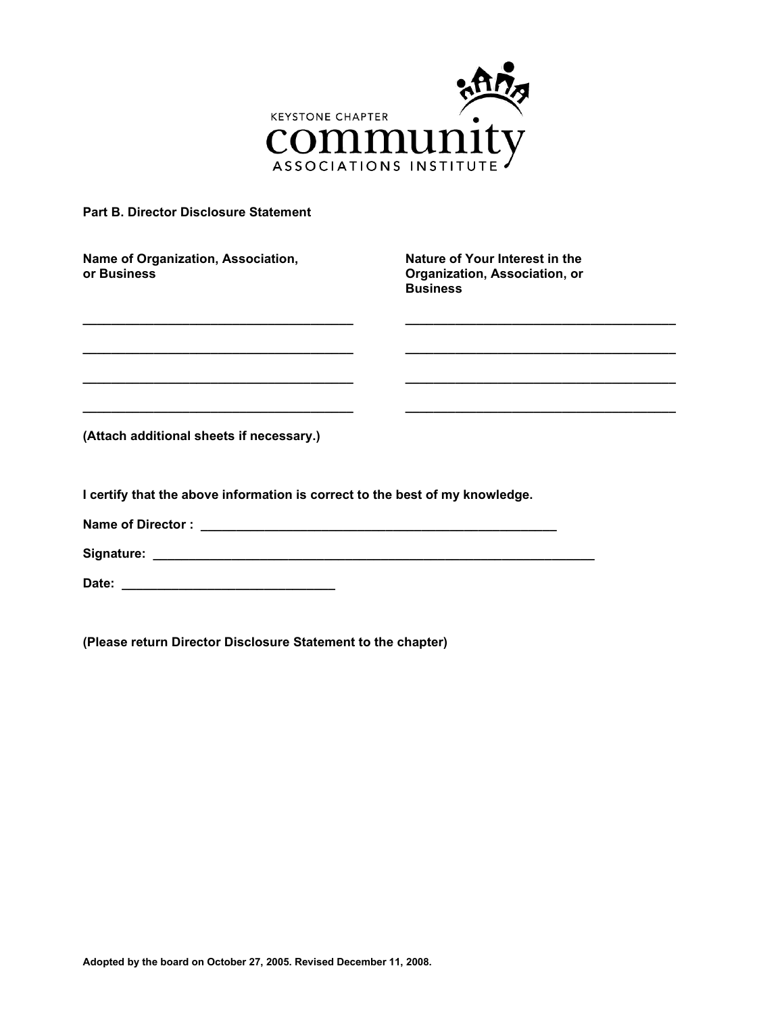

# **Part B. Director Disclosure Statement**

| Name of Organization, Association,<br>or Business                                                                             | Nature of Your Interest in the<br>Organization, Association, or<br><b>Business</b> |
|-------------------------------------------------------------------------------------------------------------------------------|------------------------------------------------------------------------------------|
| <u> 1989 - Johann John Stone, mars et al. 1989 - John Stone, mars et al. 1989 - John Stone, mars et al. 1989 - John Stone</u> |                                                                                    |
|                                                                                                                               |                                                                                    |
| <u> 1989 - Johann John Stone, markin amerikan basal dan berkembang dan berkembang dan berkembang dan berkembang da</u>        |                                                                                    |
| (Attach additional sheets if necessary.)                                                                                      |                                                                                    |
| I certify that the above information is correct to the best of my knowledge.                                                  |                                                                                    |
|                                                                                                                               |                                                                                    |
|                                                                                                                               |                                                                                    |
|                                                                                                                               |                                                                                    |

**(Please return Director Disclosure Statement to the chapter)**